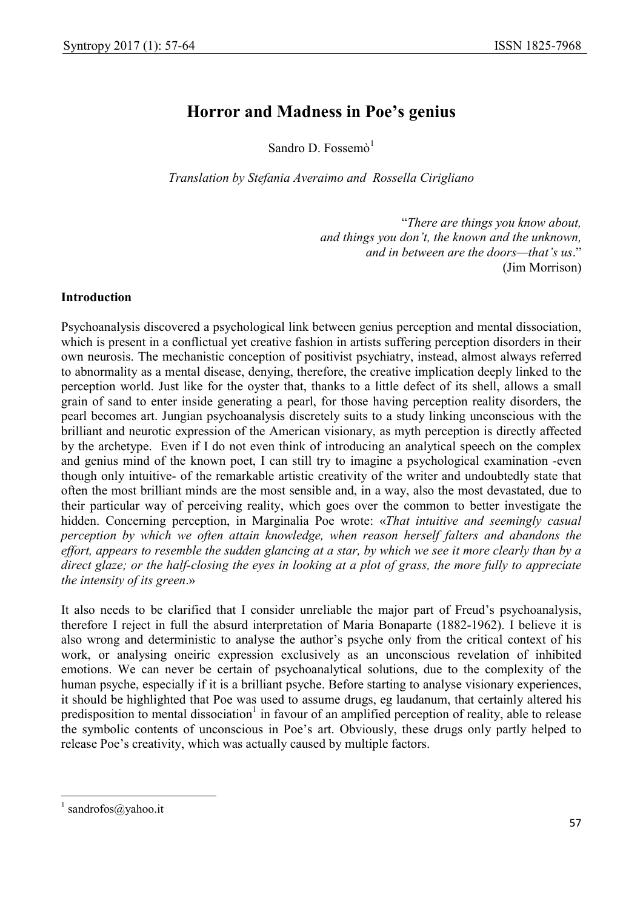# Horror and Madness in Poe's genius

Sandro D. Fossemò $1$ 

Translation by Stefania Averaimo and Rossella Cirigliano

"There are things you know about, and things you don't, the known and the unknown, and in between are the doors—that's us." (Jim Morrison)

# Introduction

Psychoanalysis discovered a psychological link between genius perception and mental dissociation, which is present in a conflictual yet creative fashion in artists suffering perception disorders in their own neurosis. The mechanistic conception of positivist psychiatry, instead, almost always referred to abnormality as a mental disease, denying, therefore, the creative implication deeply linked to the perception world. Just like for the oyster that, thanks to a little defect of its shell, allows a small grain of sand to enter inside generating a pearl, for those having perception reality disorders, the pearl becomes art. Jungian psychoanalysis discretely suits to a study linking unconscious with the brilliant and neurotic expression of the American visionary, as myth perception is directly affected by the archetype. Even if I do not even think of introducing an analytical speech on the complex and genius mind of the known poet, I can still try to imagine a psychological examination -even though only intuitive- of the remarkable artistic creativity of the writer and undoubtedly state that often the most brilliant minds are the most sensible and, in a way, also the most devastated, due to their particular way of perceiving reality, which goes over the common to better investigate the hidden. Concerning perception, in Marginalia Poe wrote: «That intuitive and seemingly casual perception by which we often attain knowledge, when reason herself falters and abandons the effort, appears to resemble the sudden glancing at a star, by which we see it more clearly than by a direct glaze; or the half-closing the eyes in looking at a plot of grass, the more fully to appreciate the intensity of its green.»

It also needs to be clarified that I consider unreliable the major part of Freud's psychoanalysis, therefore I reject in full the absurd interpretation of Maria Bonaparte (1882-1962). I believe it is also wrong and deterministic to analyse the author's psyche only from the critical context of his work, or analysing oneiric expression exclusively as an unconscious revelation of inhibited emotions. We can never be certain of psychoanalytical solutions, due to the complexity of the human psyche, especially if it is a brilliant psyche. Before starting to analyse visionary experiences, it should be highlighted that Poe was used to assume drugs, eg laudanum, that certainly altered his predisposition to mental dissociation<sup>1</sup> in favour of an amplified perception of reality, able to release the symbolic contents of unconscious in Poe's art. Obviously, these drugs only partly helped to release Poe's creativity, which was actually caused by multiple factors.

-

<sup>&</sup>lt;sup>1</sup> sandrofos@yahoo.it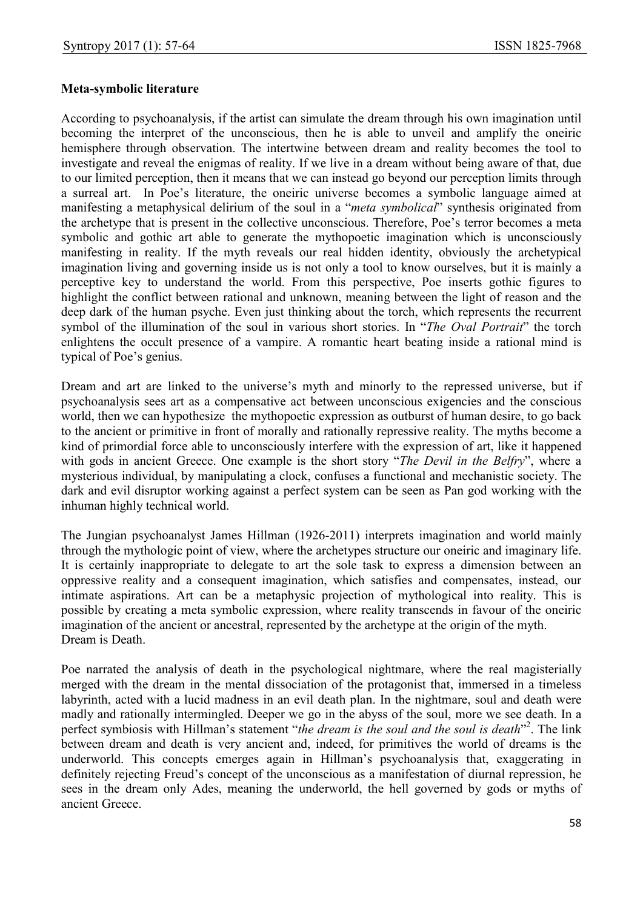#### Meta-symbolic literature

According to psychoanalysis, if the artist can simulate the dream through his own imagination until becoming the interpret of the unconscious, then he is able to unveil and amplify the oneiric hemisphere through observation. The intertwine between dream and reality becomes the tool to investigate and reveal the enigmas of reality. If we live in a dream without being aware of that, due to our limited perception, then it means that we can instead go beyond our perception limits through a surreal art. In Poe's literature, the oneiric universe becomes a symbolic language aimed at manifesting a metaphysical delirium of the soul in a "meta symbolical" synthesis originated from the archetype that is present in the collective unconscious. Therefore, Poe's terror becomes a meta symbolic and gothic art able to generate the mythopoetic imagination which is unconsciously manifesting in reality. If the myth reveals our real hidden identity, obviously the archetypical imagination living and governing inside us is not only a tool to know ourselves, but it is mainly a perceptive key to understand the world. From this perspective, Poe inserts gothic figures to highlight the conflict between rational and unknown, meaning between the light of reason and the deep dark of the human psyche. Even just thinking about the torch, which represents the recurrent symbol of the illumination of the soul in various short stories. In "The Oval Portrait" the torch enlightens the occult presence of a vampire. A romantic heart beating inside a rational mind is typical of Poe's genius.

Dream and art are linked to the universe's myth and minorly to the repressed universe, but if psychoanalysis sees art as a compensative act between unconscious exigencies and the conscious world, then we can hypothesize the mythopoetic expression as outburst of human desire, to go back to the ancient or primitive in front of morally and rationally repressive reality. The myths become a kind of primordial force able to unconsciously interfere with the expression of art, like it happened with gods in ancient Greece. One example is the short story "The Devil in the Belfry", where a mysterious individual, by manipulating a clock, confuses a functional and mechanistic society. The dark and evil disruptor working against a perfect system can be seen as Pan god working with the inhuman highly technical world.

The Jungian psychoanalyst James Hillman (1926-2011) interprets imagination and world mainly through the mythologic point of view, where the archetypes structure our oneiric and imaginary life. It is certainly inappropriate to delegate to art the sole task to express a dimension between an oppressive reality and a consequent imagination, which satisfies and compensates, instead, our intimate aspirations. Art can be a metaphysic projection of mythological into reality. This is possible by creating a meta symbolic expression, where reality transcends in favour of the oneiric imagination of the ancient or ancestral, represented by the archetype at the origin of the myth. Dream is Death.

Poe narrated the analysis of death in the psychological nightmare, where the real magisterially merged with the dream in the mental dissociation of the protagonist that, immersed in a timeless labyrinth, acted with a lucid madness in an evil death plan. In the nightmare, soul and death were madly and rationally intermingled. Deeper we go in the abyss of the soul, more we see death. In a perfect symbiosis with Hillman's statement "the dream is the soul and the soul is death"<sup>2</sup>. The link between dream and death is very ancient and, indeed, for primitives the world of dreams is the underworld. This concepts emerges again in Hillman's psychoanalysis that, exaggerating in definitely rejecting Freud's concept of the unconscious as a manifestation of diurnal repression, he sees in the dream only Ades, meaning the underworld, the hell governed by gods or myths of ancient Greece.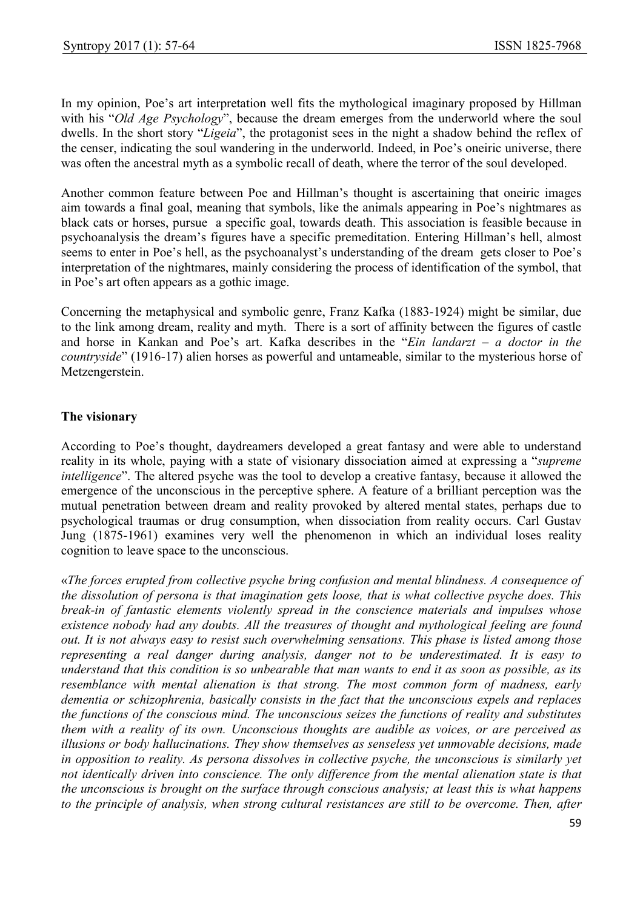In my opinion, Poe's art interpretation well fits the mythological imaginary proposed by Hillman with his "Old Age Psychology", because the dream emerges from the underworld where the soul dwells. In the short story "Ligeia", the protagonist sees in the night a shadow behind the reflex of the censer, indicating the soul wandering in the underworld. Indeed, in Poe's oneiric universe, there was often the ancestral myth as a symbolic recall of death, where the terror of the soul developed.

Another common feature between Poe and Hillman's thought is ascertaining that oneiric images aim towards a final goal, meaning that symbols, like the animals appearing in Poe's nightmares as black cats or horses, pursue a specific goal, towards death. This association is feasible because in psychoanalysis the dream's figures have a specific premeditation. Entering Hillman's hell, almost seems to enter in Poe's hell, as the psychoanalyst's understanding of the dream gets closer to Poe's interpretation of the nightmares, mainly considering the process of identification of the symbol, that in Poe's art often appears as a gothic image.

Concerning the metaphysical and symbolic genre, Franz Kafka (1883-1924) might be similar, due to the link among dream, reality and myth. There is a sort of affinity between the figures of castle and horse in Kankan and Poe's art. Kafka describes in the "Ein landarzt – a doctor in the countryside" (1916-17) alien horses as powerful and untameable, similar to the mysterious horse of Metzengerstein.

# The visionary

According to Poe's thought, daydreamers developed a great fantasy and were able to understand reality in its whole, paying with a state of visionary dissociation aimed at expressing a "supreme intelligence". The altered psyche was the tool to develop a creative fantasy, because it allowed the emergence of the unconscious in the perceptive sphere. A feature of a brilliant perception was the mutual penetration between dream and reality provoked by altered mental states, perhaps due to psychological traumas or drug consumption, when dissociation from reality occurs. Carl Gustav Jung (1875-1961) examines very well the phenomenon in which an individual loses reality cognition to leave space to the unconscious.

«The forces erupted from collective psyche bring confusion and mental blindness. A consequence of the dissolution of persona is that imagination gets loose, that is what collective psyche does. This break-in of fantastic elements violently spread in the conscience materials and impulses whose existence nobody had any doubts. All the treasures of thought and mythological feeling are found out. It is not always easy to resist such overwhelming sensations. This phase is listed among those representing a real danger during analysis, danger not to be underestimated. It is easy to understand that this condition is so unbearable that man wants to end it as soon as possible, as its resemblance with mental alienation is that strong. The most common form of madness, early dementia or schizophrenia, basically consists in the fact that the unconscious expels and replaces the functions of the conscious mind. The unconscious seizes the functions of reality and substitutes them with a reality of its own. Unconscious thoughts are audible as voices, or are perceived as illusions or body hallucinations. They show themselves as senseless yet unmovable decisions, made in opposition to reality. As persona dissolves in collective psyche, the unconscious is similarly yet not identically driven into conscience. The only difference from the mental alienation state is that the unconscious is brought on the surface through conscious analysis; at least this is what happens to the principle of analysis, when strong cultural resistances are still to be overcome. Then, after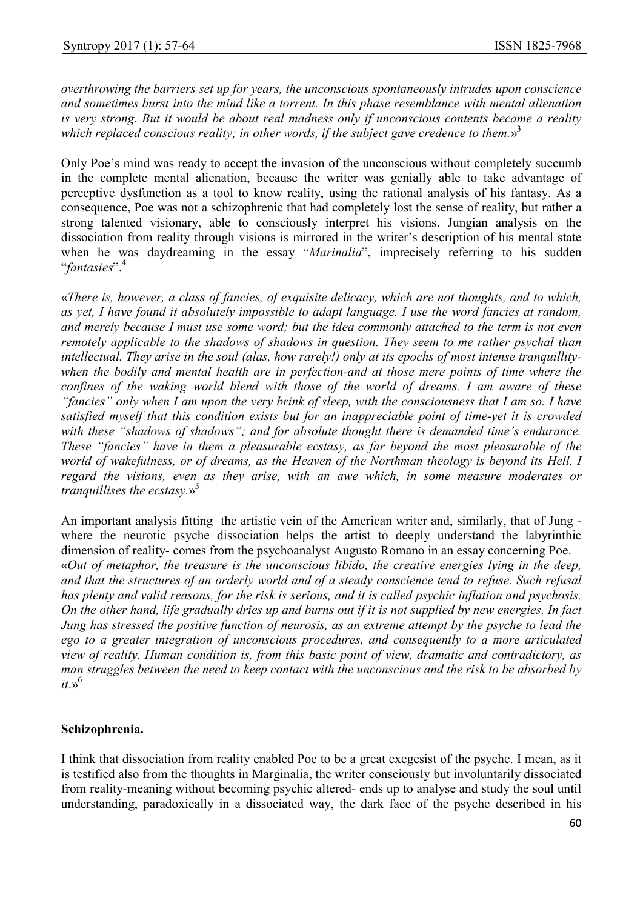overthrowing the barriers set up for years, the unconscious spontaneously intrudes upon conscience and sometimes burst into the mind like a torrent. In this phase resemblance with mental alienation is very strong. But it would be about real madness only if unconscious contents became a reality which replaced conscious reality; in other words, if the subject gave credence to them.»<sup>3</sup>

Only Poe's mind was ready to accept the invasion of the unconscious without completely succumb in the complete mental alienation, because the writer was genially able to take advantage of perceptive dysfunction as a tool to know reality, using the rational analysis of his fantasy. As a consequence, Poe was not a schizophrenic that had completely lost the sense of reality, but rather a strong talented visionary, able to consciously interpret his visions. Jungian analysis on the dissociation from reality through visions is mirrored in the writer's description of his mental state when he was daydreaming in the essay "Marinalia", imprecisely referring to his sudden "fantasies".<sup>4</sup>

«There is, however, a class of fancies, of exquisite delicacy, which are not thoughts, and to which, as yet, I have found it absolutely impossible to adapt language. I use the word fancies at random, and merely because I must use some word; but the idea commonly attached to the term is not even remotely applicable to the shadows of shadows in question. They seem to me rather psychal than intellectual. They arise in the soul (alas, how rarely!) only at its epochs of most intense tranquillitywhen the bodily and mental health are in perfection-and at those mere points of time where the confines of the waking world blend with those of the world of dreams. I am aware of these "fancies" only when I am upon the very brink of sleep, with the consciousness that I am so. I have satisfied myself that this condition exists but for an inappreciable point of time-yet it is crowded with these "shadows of shadows"; and for absolute thought there is demanded time's endurance. These "fancies" have in them a pleasurable ecstasy, as far beyond the most pleasurable of the world of wakefulness, or of dreams, as the Heaven of the Northman theology is beyond its Hell. I regard the visions, even as they arise, with an awe which, in some measure moderates or tranquillises the ecstasy. $s^5$ 

An important analysis fitting the artistic vein of the American writer and, similarly, that of Jung where the neurotic psyche dissociation helps the artist to deeply understand the labyrinthic dimension of reality- comes from the psychoanalyst Augusto Romano in an essay concerning Poe. «Out of metaphor, the treasure is the unconscious libido, the creative energies lying in the deep, and that the structures of an orderly world and of a steady conscience tend to refuse. Such refusal has plenty and valid reasons, for the risk is serious, and it is called psychic inflation and psychosis. On the other hand, life gradually dries up and burns out if it is not supplied by new energies. In fact Jung has stressed the positive function of neurosis, as an extreme attempt by the psyche to lead the ego to a greater integration of unconscious procedures, and consequently to a more articulated view of reality. Human condition is, from this basic point of view, dramatic and contradictory, as man struggles between the need to keep contact with the unconscious and the risk to be absorbed by  $it \rightarrow$ <sup>6</sup>

# Schizophrenia.

I think that dissociation from reality enabled Poe to be a great exegesist of the psyche. I mean, as it is testified also from the thoughts in Marginalia, the writer consciously but involuntarily dissociated from reality-meaning without becoming psychic altered- ends up to analyse and study the soul until understanding, paradoxically in a dissociated way, the dark face of the psyche described in his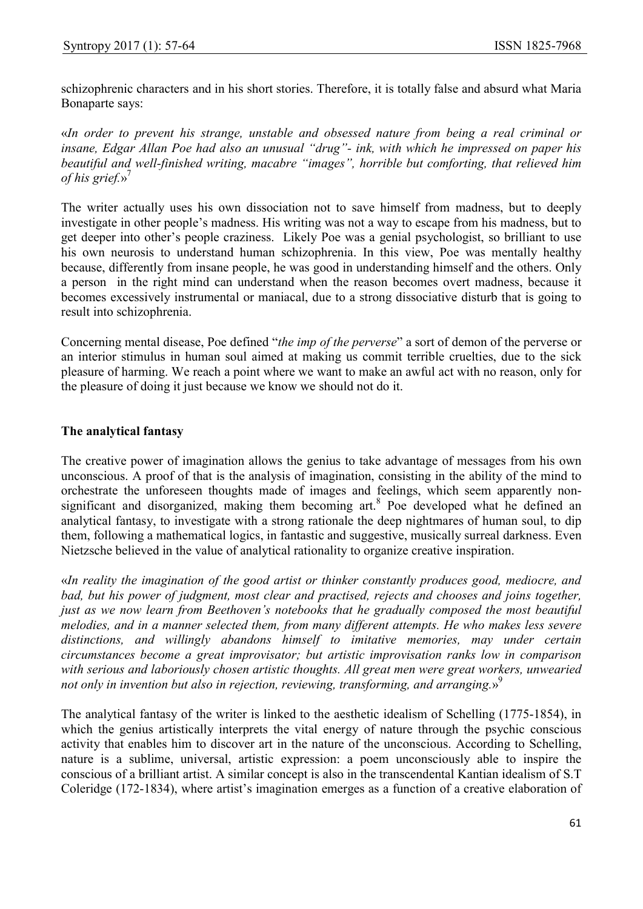schizophrenic characters and in his short stories. Therefore, it is totally false and absurd what Maria Bonaparte says:

«In order to prevent his strange, unstable and obsessed nature from being a real criminal or insane, Edgar Allan Poe had also an unusual "drug"- ink, with which he impressed on paper his beautiful and well-finished writing, macabre "images", horrible but comforting, that relieved him of his grief. $v^7$ 

The writer actually uses his own dissociation not to save himself from madness, but to deeply investigate in other people's madness. His writing was not a way to escape from his madness, but to get deeper into other's people craziness. Likely Poe was a genial psychologist, so brilliant to use his own neurosis to understand human schizophrenia. In this view, Poe was mentally healthy because, differently from insane people, he was good in understanding himself and the others. Only a person in the right mind can understand when the reason becomes overt madness, because it becomes excessively instrumental or maniacal, due to a strong dissociative disturb that is going to result into schizophrenia.

Concerning mental disease, Poe defined "the imp of the perverse" a sort of demon of the perverse or an interior stimulus in human soul aimed at making us commit terrible cruelties, due to the sick pleasure of harming. We reach a point where we want to make an awful act with no reason, only for the pleasure of doing it just because we know we should not do it.

# The analytical fantasy

The creative power of imagination allows the genius to take advantage of messages from his own unconscious. A proof of that is the analysis of imagination, consisting in the ability of the mind to orchestrate the unforeseen thoughts made of images and feelings, which seem apparently nonsignificant and disorganized, making them becoming art.<sup>8</sup> Poe developed what he defined an analytical fantasy, to investigate with a strong rationale the deep nightmares of human soul, to dip them, following a mathematical logics, in fantastic and suggestive, musically surreal darkness. Even Nietzsche believed in the value of analytical rationality to organize creative inspiration.

«In reality the imagination of the good artist or thinker constantly produces good, mediocre, and bad, but his power of judgment, most clear and practised, rejects and chooses and joins together, just as we now learn from Beethoven's notebooks that he gradually composed the most beautiful melodies, and in a manner selected them, from many different attempts. He who makes less severe distinctions, and willingly abandons himself to imitative memories, may under certain circumstances become a great improvisator; but artistic improvisation ranks low in comparison with serious and laboriously chosen artistic thoughts. All great men were great workers, unwearied not only in invention but also in rejection, reviewing, transforming, and arranging.»<sup>9</sup>

The analytical fantasy of the writer is linked to the aesthetic idealism of Schelling (1775-1854), in which the genius artistically interprets the vital energy of nature through the psychic conscious activity that enables him to discover art in the nature of the unconscious. According to Schelling, nature is a sublime, universal, artistic expression: a poem unconsciously able to inspire the conscious of a brilliant artist. A similar concept is also in the transcendental Kantian idealism of S.T Coleridge (172-1834), where artist's imagination emerges as a function of a creative elaboration of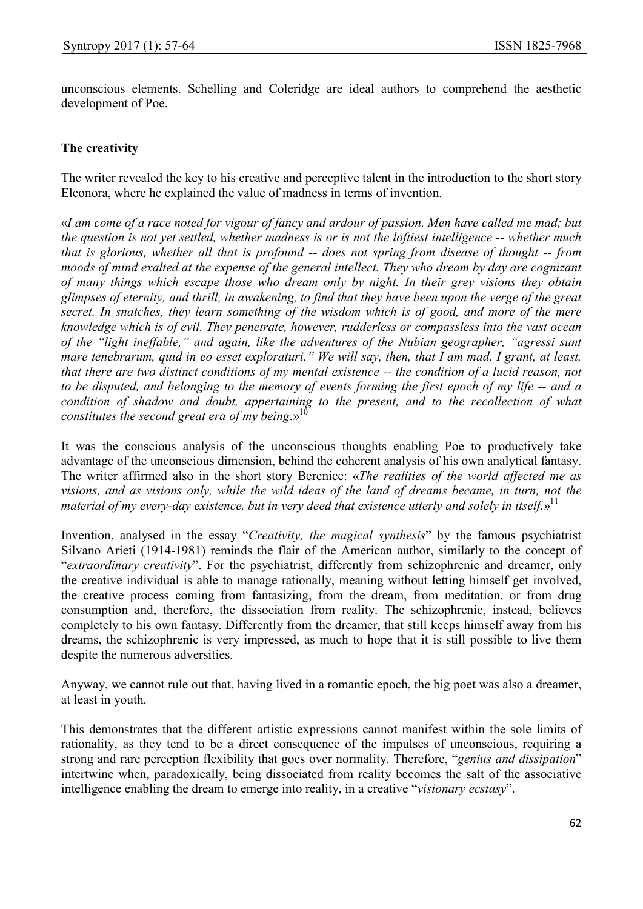unconscious elements. Schelling and Coleridge are ideal authors to comprehend the aesthetic development of Poe.

#### The creativity

The writer revealed the key to his creative and perceptive talent in the introduction to the short story Eleonora, where he explained the value of madness in terms of invention.

«I am come of a race noted for vigour of fancy and ardour of passion. Men have called me mad; but the question is not yet settled, whether madness is or is not the loftiest intelligence -- whether much that is glorious, whether all that is profound -- does not spring from disease of thought -- from moods of mind exalted at the expense of the general intellect. They who dream by day are cognizant of many things which escape those who dream only by night. In their grey visions they obtain glimpses of eternity, and thrill, in awakening, to find that they have been upon the verge of the great secret. In snatches, they learn something of the wisdom which is of good, and more of the mere knowledge which is of evil. They penetrate, however, rudderless or compassless into the vast ocean of the "light ineffable," and again, like the adventures of the Nubian geographer, "agressi sunt mare tenebrarum, quid in eo esset exploraturi." We will say, then, that I am mad. I grant, at least, that there are two distinct conditions of my mental existence -- the condition of a lucid reason, not to be disputed, and belonging to the memory of events forming the first epoch of my life -- and a condition of shadow and doubt, appertaining to the present, and to the recollection of what constitutes the second great era of my being. $v^{10}$ 

It was the conscious analysis of the unconscious thoughts enabling Poe to productively take advantage of the unconscious dimension, behind the coherent analysis of his own analytical fantasy. The writer affirmed also in the short story Berenice: «The realities of the world affected me as visions, and as visions only, while the wild ideas of the land of dreams became, in turn, not the material of my every-day existence, but in very deed that existence utterly and solely in itself.»<sup>11</sup>

Invention, analysed in the essay "Creativity, the magical synthesis" by the famous psychiatrist Silvano Arieti (1914-1981) reminds the flair of the American author, similarly to the concept of "extraordinary creativity". For the psychiatrist, differently from schizophrenic and dreamer, only the creative individual is able to manage rationally, meaning without letting himself get involved, the creative process coming from fantasizing, from the dream, from meditation, or from drug consumption and, therefore, the dissociation from reality. The schizophrenic, instead, believes completely to his own fantasy. Differently from the dreamer, that still keeps himself away from his dreams, the schizophrenic is very impressed, as much to hope that it is still possible to live them despite the numerous adversities.

Anyway, we cannot rule out that, having lived in a romantic epoch, the big poet was also a dreamer, at least in youth.

This demonstrates that the different artistic expressions cannot manifest within the sole limits of rationality, as they tend to be a direct consequence of the impulses of unconscious, requiring a strong and rare perception flexibility that goes over normality. Therefore, "genius and dissipation" intertwine when, paradoxically, being dissociated from reality becomes the salt of the associative intelligence enabling the dream to emerge into reality, in a creative "visionary ecstasy".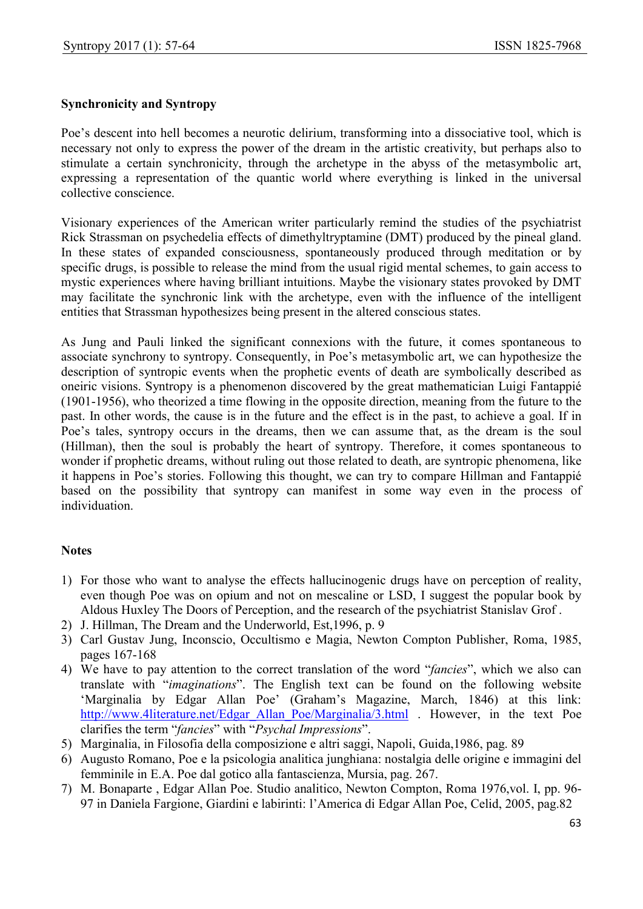# Synchronicity and Syntropy

Poe's descent into hell becomes a neurotic delirium, transforming into a dissociative tool, which is necessary not only to express the power of the dream in the artistic creativity, but perhaps also to stimulate a certain synchronicity, through the archetype in the abyss of the metasymbolic art, expressing a representation of the quantic world where everything is linked in the universal collective conscience.

Visionary experiences of the American writer particularly remind the studies of the psychiatrist Rick Strassman on psychedelia effects of dimethyltryptamine (DMT) produced by the pineal gland. In these states of expanded consciousness, spontaneously produced through meditation or by specific drugs, is possible to release the mind from the usual rigid mental schemes, to gain access to mystic experiences where having brilliant intuitions. Maybe the visionary states provoked by DMT may facilitate the synchronic link with the archetype, even with the influence of the intelligent entities that Strassman hypothesizes being present in the altered conscious states.

As Jung and Pauli linked the significant connexions with the future, it comes spontaneous to associate synchrony to syntropy. Consequently, in Poe's metasymbolic art, we can hypothesize the description of syntropic events when the prophetic events of death are symbolically described as oneiric visions. Syntropy is a phenomenon discovered by the great mathematician Luigi Fantappié (1901-1956), who theorized a time flowing in the opposite direction, meaning from the future to the past. In other words, the cause is in the future and the effect is in the past, to achieve a goal. If in Poe's tales, syntropy occurs in the dreams, then we can assume that, as the dream is the soul (Hillman), then the soul is probably the heart of syntropy. Therefore, it comes spontaneous to wonder if prophetic dreams, without ruling out those related to death, are syntropic phenomena, like it happens in Poe's stories. Following this thought, we can try to compare Hillman and Fantappié based on the possibility that syntropy can manifest in some way even in the process of individuation.

#### Notes

- 1) For those who want to analyse the effects hallucinogenic drugs have on perception of reality, even though Poe was on opium and not on mescaline or LSD, I suggest the popular book by Aldous Huxley The Doors of Perception, and the research of the psychiatrist Stanislav Grof .
- 2) J. Hillman, The Dream and the Underworld, Est,1996, p. 9
- 3) Carl Gustav Jung, Inconscio, Occultismo e Magia, Newton Compton Publisher, Roma, 1985, pages 167-168
- 4) We have to pay attention to the correct translation of the word "fancies", which we also can translate with "imaginations". The English text can be found on the following website 'Marginalia by Edgar Allan Poe' (Graham's Magazine, March, 1846) at this link: http://www.4literature.net/Edgar\_Allan\_Poe/Marginalia/3.html . However, in the text Poe clarifies the term "fancies" with "Psychal Impressions".
- 5) Marginalia, in Filosofia della composizione e altri saggi, Napoli, Guida,1986, pag. 89
- 6) Augusto Romano, Poe e la psicologia analitica junghiana: nostalgia delle origine e immagini del femminile in E.A. Poe dal gotico alla fantascienza, Mursia, pag. 267.
- 7) M. Bonaparte , Edgar Allan Poe. Studio analitico, Newton Compton, Roma 1976,vol. I, pp. 96- 97 in Daniela Fargione, Giardini e labirinti: l'America di Edgar Allan Poe, Celid, 2005, pag.82